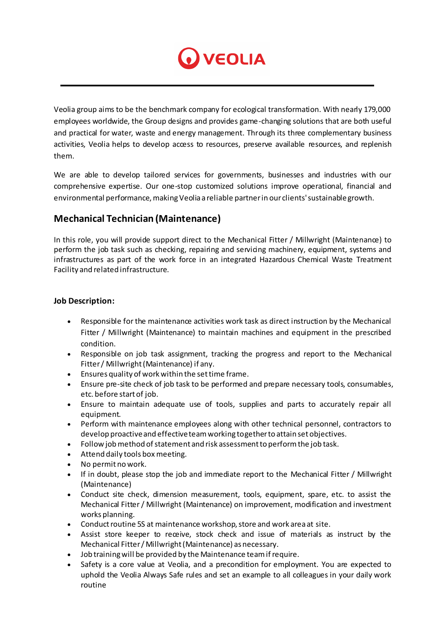

Veolia group aims to be the benchmark company for ecological transformation. With nearly 179,000 employees worldwide, the Group designs and provides game-changing solutions that are both useful and practical for water, waste and energy management. Through its three complementary business activities, Veolia helps to develop access to resources, preserve available resources, and replenish them.

We are able to develop tailored services for governments, businesses and industries with our comprehensive expertise. Our one-stop customized solutions improve operational, financial and environmental performance, making Veolia a reliable partner in our clients' sustainable growth.

## **Mechanical Technician (Maintenance)**

In this role, you will provide support direct to the Mechanical Fitter / Millwright (Maintenance) to perform the job task such as checking, repairing and servicing machinery, equipment, systems and infrastructures as part of the work force in an integrated Hazardous Chemical Waste Treatment Facility and related infrastructure.

## **Job Description:**

- Responsible for the maintenance activities work task as direct instruction by the Mechanical Fitter / Millwright (Maintenance) to maintain machines and equipment in the prescribed condition.
- Responsible on job task assignment, tracking the progress and report to the Mechanical Fitter / Millwright (Maintenance) if any.
- Ensures quality of work within the set time frame.
- Ensure pre-site check of job task to be performed and prepare necessary tools, consumables, etc. before start of job.
- Ensure to maintain adequate use of tools, supplies and parts to accurately repair all equipment.
- Perform with maintenance employees along with other technical personnel, contractors to develop proactive and effective team working together to attain set objectives.
- Follow job method of statement and risk assessment to perform the job task.
- Attend daily tools box meeting.
- No permit no work.
- If in doubt, please stop the job and immediate report to the Mechanical Fitter / Millwright (Maintenance)
- Conduct site check, dimension measurement, tools, equipment, spare, etc. to assist the Mechanical Fitter / Millwright (Maintenance) on improvement, modification and investment works planning.
- Conduct routine 5S at maintenance workshop, store and work area at site.
- Assist store keeper to receive, stock check and issue of materials as instruct by the Mechanical Fitter / Millwright (Maintenance) as necessary.
- Job training will be provided by the Maintenance team if require.
- Safety is a core value at Veolia, and a precondition for employment. You are expected to uphold the Veolia Always Safe rules and set an example to all colleagues in your daily work routine